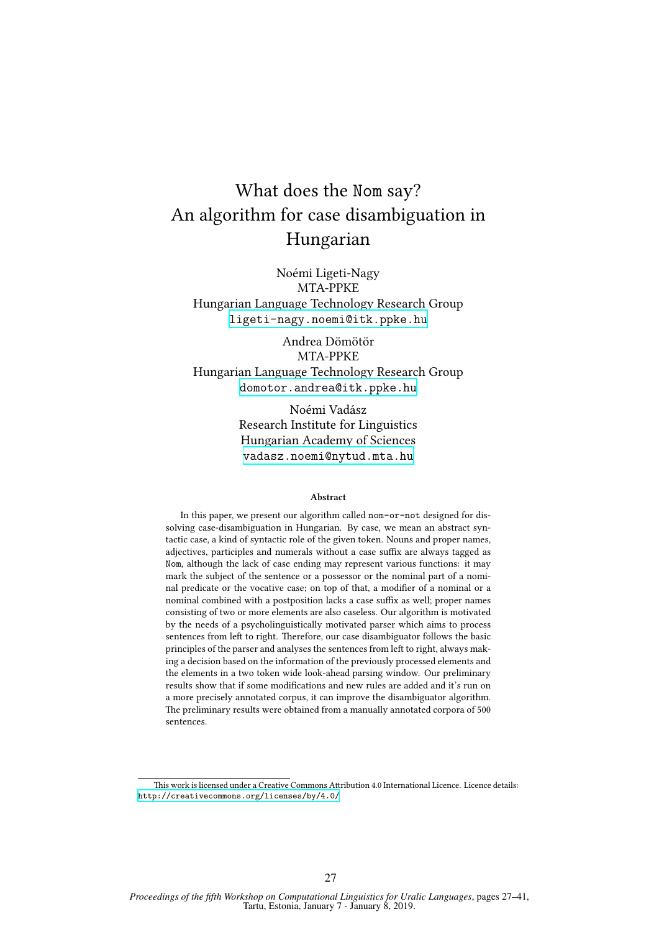# What does the Nom say? An algorithm for case disambiguation in Hungarian

Noémi Ligeti-Nagy MTA-PPKE Hungarian Language Technology Research Group <ligeti-nagy.noemi@itk.ppke.hu>

Andrea Dömötör MTA-PPKE Hungarian Language Technology Research Group <domotor.andrea@itk.ppke.hu>

> Noémi Vadász Research Institute for Linguistics Hungarian Academy of Sciences <vadasz.noemi@nytud.mta.hu>

#### **Abstract**

In this paper, we present our algorithm called nom-or-not designed for dissolving case-disambiguation in Hungarian. By case, we mean an abstract syntactic case, a kind of syntactic role of the given token. Nouns and proper names, adjectives, participles and numerals without a case suffix are always tagged as Nom, although the lack of case ending may represent various functions: it may mark the subject of the sentence or a possessor or the nominal part of a nominal predicate or the vocative case; on top of that, a modifier of a nominal or a nominal combined with a postposition lacks a case suffix as well; proper names consisting of two or more elements are also caseless. Our algorithm is motivated by the needs of a psycholinguistically motivated parser which aims to process sentences from left to right. Therefore, our case disambiguator follows the basic principles of the parser and analyses the sentences from left to right, always making a decision based on the information of the previously processed elements and the elements in a two token wide look-ahead parsing window. Our preliminary results show that if some modifications and new rules are added and it's run on a more precisely annotated corpus, it can improve the disambiguator algorithm. The preliminary results were obtained from a manually annotated corpora of 500 sentences.

This work is licensed under a Creative Commons Attribution 4.0 International Licence. Licence details: <http://creativecommons.org/licenses/by/4.0/>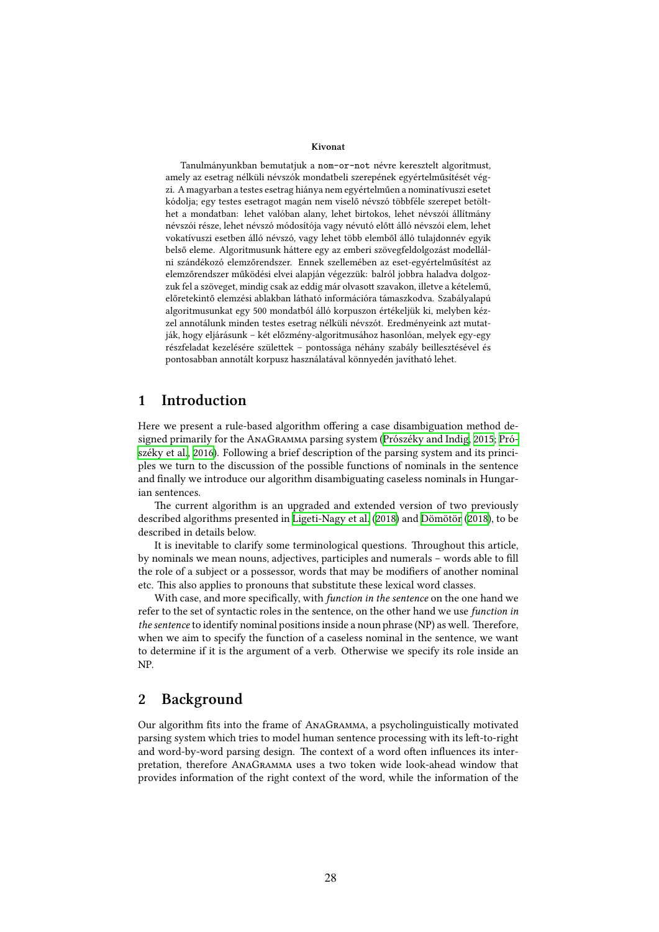#### **Kivonat**

Tanulmányunkban bemutatjuk a nom-or-not névre keresztelt algoritmust, amely az esetrag nélküli névszók mondatbeli szerepének egyértelműsítését végzi. A magyarban a testes esetrag hiánya nem egyértelműen a nominatívuszi esetet kódolja; egy testes esetragot magán nem viselő névszó többféle szerepet betölthet a mondatban: lehet valóban alany, lehet birtokos, lehet névszói állítmány névszói része, lehet névszó módosítója vagy névutó előtt álló névszói elem, lehet vokatívuszi esetben álló névszó, vagy lehet több elemből álló tulajdonnév egyik belső eleme. Algoritmusunk háttere egy az emberi szövegfeldolgozást modellálni szándékozó elemzőrendszer. Ennek szellemében az eset-egyértelműsítést az elemzőrendszer működési elvei alapján végezzük: balról jobbra haladva dolgozzuk fel a szöveget, mindig csak az eddig már olvasott szavakon, illetve a kételemű, előretekintő elemzési ablakban látható információra támaszkodva. Szabályalapú algoritmusunkat egy 500 mondatból álló korpuszon értékeljük ki, melyben kézzel annotálunk minden testes esetrag nélküli névszót. Eredményeink azt mutatják, hogy eljárásunk – két előzmény-algoritmusához hasonlóan, melyek egy-egy részfeladat kezelésére születtek – pontossága néhány szabály beillesztésével és pontosabban annotált korpusz használatával könnyedén javítható lehet.

## **1 Introduction**

Here we present a rule-based algorithm offering a case disambiguation method designed primarily for the AnaGramma parsing system [\(Prószéky and Indig,](#page-13-0) [2015](#page-13-0); [Pró](#page-14-0)[széky et al.,](#page-14-0) [2016\)](#page-14-0). Following a brief description of the parsing system and its principles we turn to the discussion of the possible functions of nominals in the sentence and finally we introduce our algorithm disambiguating caseless nominals in Hungarian sentences.

The current algorithm is an upgraded and extended version of two previously described algorithms presented in [Ligeti-Nagy et al.](#page-13-1) [\(2018\)](#page-13-1) and [Dömötör](#page-13-2) ([2018](#page-13-2)), to be described in details below.

It is inevitable to clarify some terminological questions. Throughout this article, by nominals we mean nouns, adjectives, participles and numerals – words able to fill the role of a subject or a possessor, words that may be modifiers of another nominal etc. This also applies to pronouns that substitute these lexical word classes.

With case, and more specifically, with *function in the sentence* on the one hand we refer to the set of syntactic roles in the sentence, on the other hand we use *function in the sentence* to identify nominal positions inside a noun phrase (NP) as well. Therefore, when we aim to specify the function of a caseless nominal in the sentence, we want to determine if it is the argument of a verb. Otherwise we specify its role inside an NP.

## <span id="page-1-0"></span>**2 Background**

Our algorithm fits into the frame of AnaGramma, a psycholinguistically motivated parsing system which tries to model human sentence processing with its left-to-right and word-by-word parsing design. The context of a word often influences its interpretation, therefore AnaGramma uses a two token wide look-ahead window that provides information of the right context of the word, while the information of the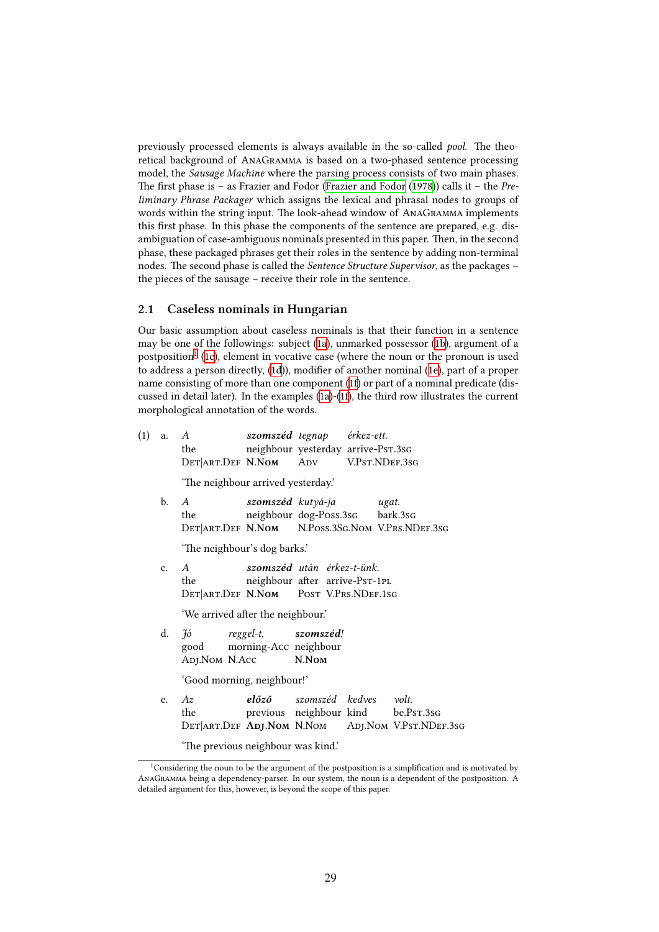previously processed elements is always available in the so-called *pool*. The theoretical background of AnaGramma is based on a two-phased sentence processing model, the *Sausage Machine* where the parsing process consists of two main phases. The first phase is – as Frazier and Fodor [\(Frazier and Fodor](#page-13-3) [\(1978\)](#page-13-3)) calls it – the *Preliminary Phrase Packager* which assigns the lexical and phrasal nodes to groups of words within the string input. The look-ahead window of AnaGramma implements this first phase. In this phase the components of the sentence are prepared, e.g. disambiguation of case-ambiguous nominals presented in this paper. Then, in the second phase, these packaged phrases get their roles in the sentence by adding non-terminal nodes. The second phase is called the *Sentence Structure Supervisor*, as the packages – the pieces of the sausage – receive their role in the sentence.

### <span id="page-2-0"></span>**2.1 Caseless nominals in Hungarian**

Our basic assumption about caseless nominals is that their function in a sentence may be one of the followings: subject [\(1a](#page-2-0)), unmarked possessor([1b](#page-2-0)), argument of a postposition<sup>[1](#page-2-1)</sup> ([1c\)](#page-2-0), element in vocative case (where the noun or the pronoun is used to address a person directly,([1d\)](#page-2-0)), modifier of another nominal([1e](#page-2-0)), part of a proper name consisting of more than one component [\(1f](#page-2-0)) or part of a nominal predicate (discussed in detail later). In the examples([1a\)](#page-2-0)-[\(1f\)](#page-2-0), the third row illustrates the current morphological annotation of the words.

| (1) | a.             | A szomszéd tegnap érkez-ett.<br>the<br>DET ART. DEF N. NOM ADV V.PST. NDEF. 3sG  |  | neighbour yesterday arrive-PsT.3sG                           |  |                                                                                               |  |  |
|-----|----------------|----------------------------------------------------------------------------------|--|--------------------------------------------------------------|--|-----------------------------------------------------------------------------------------------|--|--|
|     |                | 'The neighbour arrived yesterday.'                                               |  |                                                              |  |                                                                                               |  |  |
|     | b.             | $\overline{A}$<br>the<br>DET ART. DEF N. NOM N. POSS. 3SG. NOM V. PRS. NDEF. 3sG |  | szomszéd kutyá-ja<br>neighbour dog-Poss.3sG bark.3sG         |  | ugat.                                                                                         |  |  |
|     |                | 'The neighbour's dog barks.'                                                     |  |                                                              |  |                                                                                               |  |  |
|     | C <sub>1</sub> | $\mathcal{A}$<br>the<br>DET ART. DEF N. NOM POST V. PRS. NDEF. 1SG               |  | szomszéd után érkez-t-ünk.<br>neighbour after arrive-PsT-1PL |  |                                                                                               |  |  |
|     |                | 'We arrived after the neighbour.'                                                |  |                                                              |  |                                                                                               |  |  |
|     | d.             | Jó reggel-t, szomszéd!<br>good morning-Acc neighbour<br>ADJ.NOM N.Acc N.NOM      |  |                                                              |  |                                                                                               |  |  |
|     |                | 'Good morning, neighbour!'                                                       |  |                                                              |  |                                                                                               |  |  |
|     | e.             | Az<br>the                                                                        |  | <b>előző</b> szomszéd kedves volt.                           |  | previous neighbour kind be.PsT.3sG<br>DET ART. DEF ADJ. NOM N. NOM ADJ. NOM V. PST. NDEF. 3sG |  |  |

'The previous neighbour was kind.'

<span id="page-2-1"></span><sup>&</sup>lt;sup>1</sup>Considering the noun to be the argument of the postposition is a simplification and is motivated by AnaGramma being a dependency-parser. In our system, the noun is a dependent of the postposition. A detailed argument for this, however, is beyond the scope of this paper.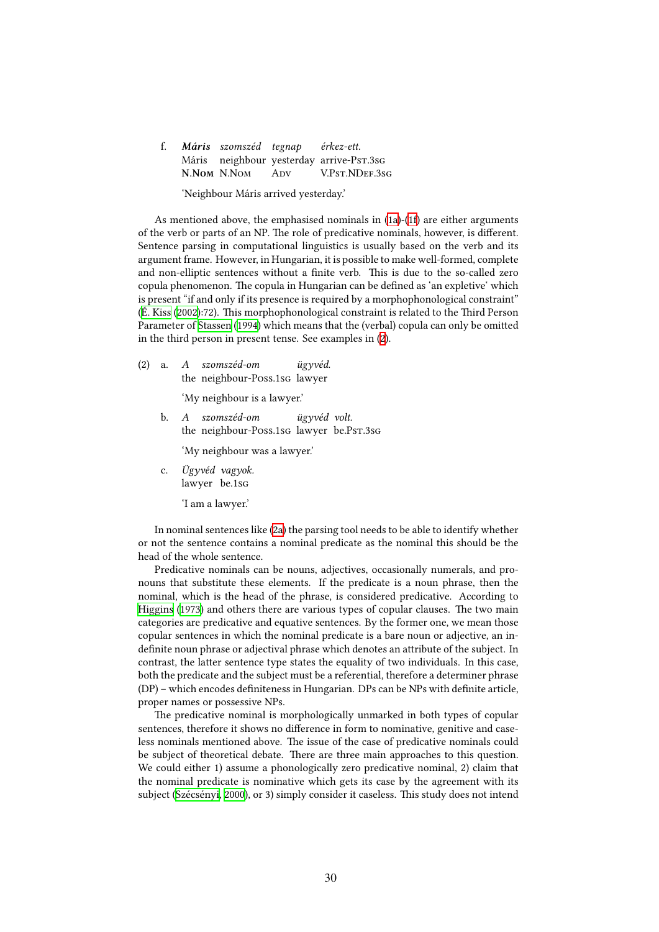|  | f. Máris szomszéd tegnap érkez-ett. |                                          |
|--|-------------------------------------|------------------------------------------|
|  |                                     | Máris neighbour yesterday arrive-Pst.3sG |
|  | N.Nom N.Nom Apv                     | V.Pst.NDEF.3sg                           |

'Neighbour Máris arrived yesterday.'

As mentioned above, the emphasised nominals in  $(1a)-(1f)$  $(1a)-(1f)$  are either arguments of the verb or parts of an NP. The role of predicative nominals, however, is different. Sentence parsing in computational linguistics is usually based on the verb and its argument frame. However, in Hungarian, it is possible to make well-formed, complete and non-elliptic sentences without a finite verb. This is due to the so-called zero copula phenomenon. The copula in Hungarian can be defined as 'an expletive' which is present "if and only if its presence is required by a morphophonological constraint" ([É. Kiss](#page-13-4) ([2002](#page-13-4)):72). This morphophonological constraint is related to the Third Person Parameter of [Stassen](#page-14-1) [\(1994\)](#page-14-1) which means that the (verbal) copula can only be omitted in the third person in present tense. See examples in([2](#page-2-0)).

(2) a. *A szomszéd-om* the neighbour-Poss.1sg lawyer *ügyvéd.*

'My neighbour is a lawyer.'

b. *A* the neighbour-Poss.1sg lawyer be.Pst.3sg *szomszéd-om ügyvéd volt.*

'My neighbour was a lawyer.'

c. *Ügyvéd vagyok.* lawyer be.1sg

'I am a lawyer.'

In nominal sentences like([2a\)](#page-2-0) the parsing tool needs to be able to identify whether or not the sentence contains a nominal predicate as the nominal this should be the head of the whole sentence.

Predicative nominals can be nouns, adjectives, occasionally numerals, and pronouns that substitute these elements. If the predicate is a noun phrase, then the nominal, which is the head of the phrase, is considered predicative. According to [Higgins](#page-13-5) ([1973](#page-13-5)) and others there are various types of copular clauses. The two main categories are predicative and equative sentences. By the former one, we mean those copular sentences in which the nominal predicate is a bare noun or adjective, an indefinite noun phrase or adjectival phrase which denotes an attribute of the subject. In contrast, the latter sentence type states the equality of two individuals. In this case, both the predicate and the subject must be a referential, therefore a determiner phrase (DP) – which encodes definiteness in Hungarian. DPs can be NPs with definite article, proper names or possessive NPs.

The predicative nominal is morphologically unmarked in both types of copular sentences, therefore it shows no difference in form to nominative, genitive and caseless nominals mentioned above. The issue of the case of predicative nominals could be subject of theoretical debate. There are three main approaches to this question. We could either 1) assume a phonologically zero predicative nominal, 2) claim that the nominal predicate is nominative which gets its case by the agreement with its subject([Szécsényi](#page-14-2), [2000](#page-14-2)), or 3) simply consider it caseless. This study does not intend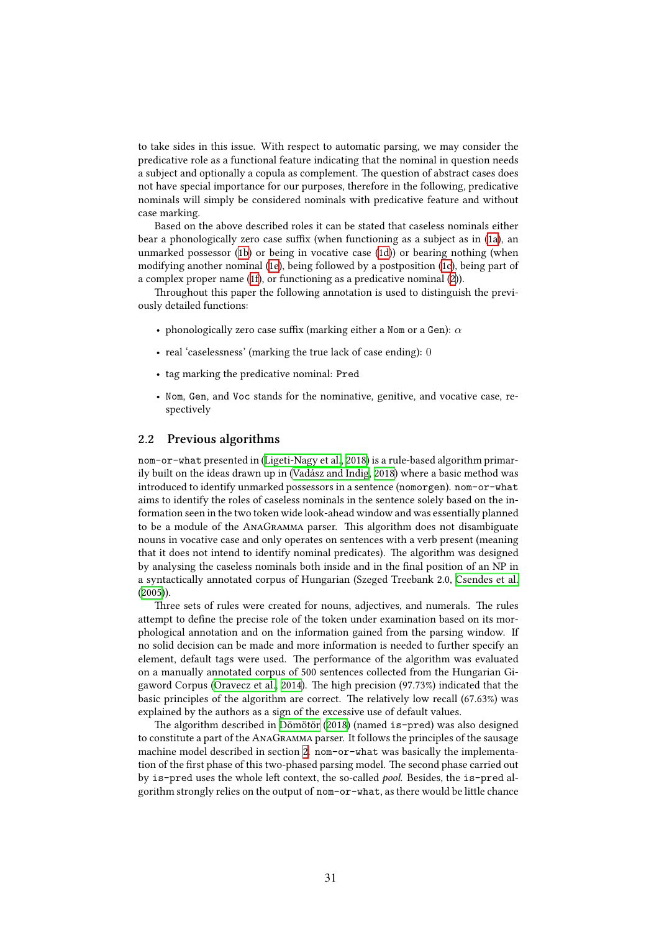to take sides in this issue. With respect to automatic parsing, we may consider the predicative role as a functional feature indicating that the nominal in question needs a subject and optionally a copula as complement. The question of abstract cases does not have special importance for our purposes, therefore in the following, predicative nominals will simply be considered nominals with predicative feature and without case marking.

Based on the above described roles it can be stated that caseless nominals either bear a phonologically zero case suffix (when functioning as a subject as in([1a\)](#page-2-0), an unmarked possessor [\(1b\)](#page-2-0) or being in vocative case [\(1d\)](#page-2-0)) or bearing nothing (when modifying another nominal [\(1e](#page-2-0)), being followed by a postposition [\(1c](#page-2-0)), being part of a complex proper name [\(1f\)](#page-2-0), or functioning as a predicative nominal [\(2\)](#page-2-0)).

Throughout this paper the following annotation is used to distinguish the previously detailed functions:

- phonologically zero case suffix (marking either a Nom or a Gen): *α*
- real 'caselessness' (marking the true lack of case ending): 0
- tag marking the predicative nominal: Pred
- Nom, Gen, and Voc stands for the nominative, genitive, and vocative case, respectively

## **2.2 Previous algorithms**

nom-or-what presented in [\(Ligeti-Nagy et al.](#page-13-1), [2018](#page-13-1)) is a rule-based algorithm primarily built on the ideas drawn up in([Vadász and Indig,](#page-14-3) [2018\)](#page-14-3) where a basic method was introduced to identify unmarked possessors in a sentence (nomorgen). nom-or-what aims to identify the roles of caseless nominals in the sentence solely based on the information seen in the two token wide look-ahead window and was essentially planned to be a module of the AnaGramma parser. This algorithm does not disambiguate nouns in vocative case and only operates on sentences with a verb present (meaning that it does not intend to identify nominal predicates). The algorithm was designed by analysing the caseless nominals both inside and in the final position of an NP in a syntactically annotated corpus of Hungarian (Szeged Treebank 2.0, [Csendes et al.](#page-13-6) ([2005](#page-13-6))).

Three sets of rules were created for nouns, adjectives, and numerals. The rules attempt to define the precise role of the token under examination based on its morphological annotation and on the information gained from the parsing window. If no solid decision can be made and more information is needed to further specify an element, default tags were used. The performance of the algorithm was evaluated on a manually annotated corpus of 500 sentences collected from the Hungarian Gigaword Corpus [\(Oravecz et al.](#page-13-7), [2014\)](#page-13-7). The high precision (97.73%) indicated that the basic principles of the algorithm are correct. The relatively low recall (67.63%) was explained by the authors as a sign of the excessive use of default values.

The algorithm described in [Dömötör](#page-13-2) [\(2018\)](#page-13-2) (named is-pred) was also designed to constitute a part of the AnaGramma parser. It follows the principles of the sausage machine model described in section [2](#page-1-0). nom-or-what was basically the implementation of the first phase of this two-phased parsing model. The second phase carried out by is-pred uses the whole left context, the so-called *pool*. Besides, the is-pred algorithm strongly relies on the output of nom-or-what, as there would be little chance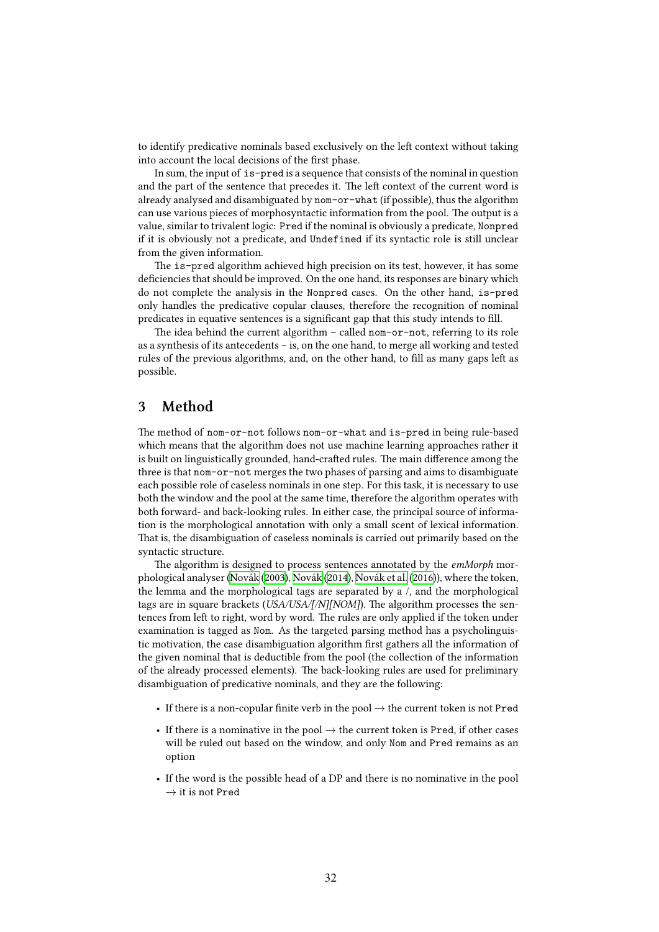to identify predicative nominals based exclusively on the left context without taking into account the local decisions of the first phase.

In sum, the input of is-pred is a sequence that consists of the nominal in question and the part of the sentence that precedes it. The left context of the current word is already analysed and disambiguated by nom-or-what (if possible), thus the algorithm can use various pieces of morphosyntactic information from the pool. The output is a value, similar to trivalent logic: Pred if the nominal is obviously a predicate, Nonpred if it is obviously not a predicate, and Undefined if its syntactic role is still unclear from the given information.

The is-pred algorithm achieved high precision on its test, however, it has some deficiencies that should be improved. On the one hand, its responses are binary which do not complete the analysis in the Nonpred cases. On the other hand, is-pred only handles the predicative copular clauses, therefore the recognition of nominal predicates in equative sentences is a significant gap that this study intends to fill.

The idea behind the current algorithm – called nom-or-not, referring to its role as a synthesis of its antecedents – is, on the one hand, to merge all working and tested rules of the previous algorithms, and, on the other hand, to fill as many gaps left as possible.

# <span id="page-5-0"></span>**3 Method**

The method of nom-or-not follows nom-or-what and is-pred in being rule-based which means that the algorithm does not use machine learning approaches rather it is built on linguistically grounded, hand-crafted rules. The main difference among the three is that nom-or-not merges the two phases of parsing and aims to disambiguate each possible role of caseless nominals in one step. For this task, it is necessary to use both the window and the pool at the same time, therefore the algorithm operates with both forward- and back-looking rules. In either case, the principal source of information is the morphological annotation with only a small scent of lexical information. That is, the disambiguation of caseless nominals is carried out primarily based on the syntactic structure.

The algorithm is designed to process sentences annotated by the *emMorph* morphological analyser([Novák](#page-13-8) [\(2003\)](#page-13-8), [Novák](#page-13-9) ([2014](#page-13-9)), [Novák et al.](#page-13-10) ([2016](#page-13-10))), where the token, the lemma and the morphological tags are separated by a /, and the morphological tags are in square brackets (*USA/USA/[/N][NOM]*). The algorithm processes the sentences from left to right, word by word. The rules are only applied if the token under examination is tagged as Nom. As the targeted parsing method has a psycholinguistic motivation, the case disambiguation algorithm first gathers all the information of the given nominal that is deductible from the pool (the collection of the information of the already processed elements). The back-looking rules are used for preliminary disambiguation of predicative nominals, and they are the following:

- If there is a non-copular finite verb in the pool *→* the current token is not Pred
- If there is a nominative in the pool *→* the current token is Pred, if other cases will be ruled out based on the window, and only Nom and Pred remains as an option
- If the word is the possible head of a DP and there is no nominative in the pool *→* it is not Pred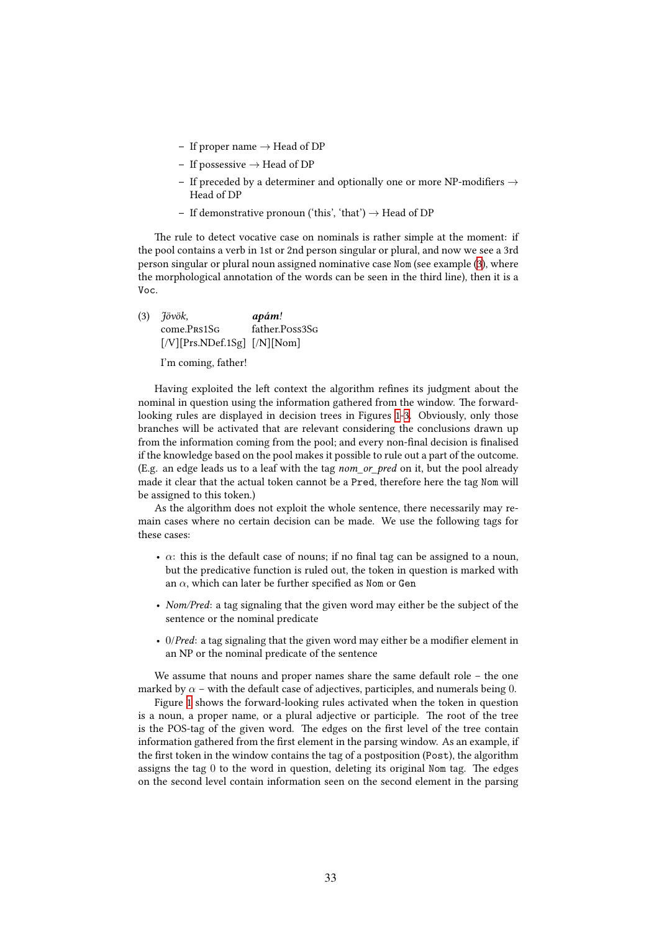- **–** If proper name *→* Head of DP
- **–** If possessive *→* Head of DP
- **–** If preceded by a determiner and optionally one or more NP-modifiers *→* Head of DP
- **–** If demonstrative pronoun ('this', 'that') *→* Head of DP

The rule to detect vocative case on nominals is rather simple at the moment: if the pool contains a verb in 1st or 2nd person singular or plural, and now we see a 3rd person singular or plural noun assigned nominative case Nom (see example [\(3\)](#page-5-0), where the morphological annotation of the words can be seen in the third line), then it is a Voc.

(3) *Jövök,* come.Prs1Sg [/V][Prs.NDef.1Sg] [/N][Nom] *apám!* father.Poss3Sg

I'm coming, father!

Having exploited the left context the algorithm refines its judgment about the nominal in question using the information gathered from the window. The forwardlooking rules are displayed in decision trees in Figures [1-](#page-8-0)[3.](#page-10-0) Obviously, only those branches will be activated that are relevant considering the conclusions drawn up from the information coming from the pool; and every non-final decision is finalised if the knowledge based on the pool makes it possible to rule out a part of the outcome. (E.g. an edge leads us to a leaf with the tag *nom\_or\_pred* on it, but the pool already made it clear that the actual token cannot be a Pred, therefore here the tag Nom will be assigned to this token.)

As the algorithm does not exploit the whole sentence, there necessarily may remain cases where no certain decision can be made. We use the following tags for these cases:

- $\cdot$   $\alpha$ : this is the default case of nouns; if no final tag can be assigned to a noun, but the predicative function is ruled out, the token in question is marked with an *α*, which can later be further specified as Nom or Gen
- *Nom/Pred*: a tag signaling that the given word may either be the subject of the sentence or the nominal predicate
- 0/*Pred*: a tag signaling that the given word may either be a modifier element in an NP or the nominal predicate of the sentence

We assume that nouns and proper names share the same default role – the one marked by  $\alpha$  – with the default case of adjectives, participles, and numerals being 0.

Figure [1](#page-8-0) shows the forward-looking rules activated when the token in question is a noun, a proper name, or a plural adjective or participle. The root of the tree is the POS-tag of the given word. The edges on the first level of the tree contain information gathered from the first element in the parsing window. As an example, if the first token in the window contains the tag of a postposition (Post), the algorithm assigns the tag 0 to the word in question, deleting its original Nom tag. The edges on the second level contain information seen on the second element in the parsing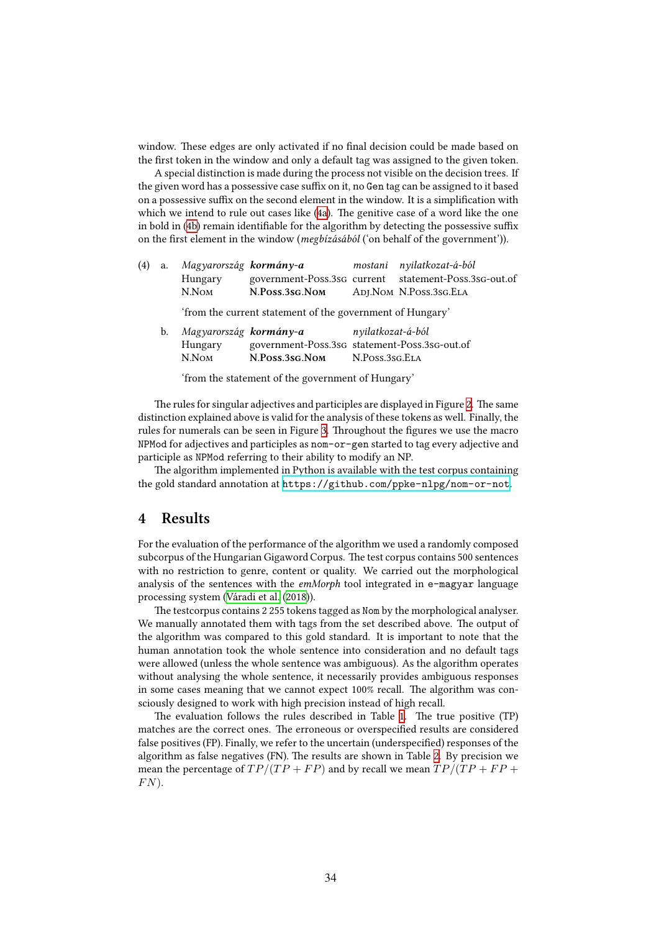window. These edges are only activated if no final decision could be made based on the first token in the window and only a default tag was assigned to the given token.

A special distinction is made during the process not visible on the decision trees. If the given word has a possessive case suffix on it, no Gen tag can be assigned to it based on a possessive suffix on the second element in the window. It is a simplification with which we intend to rule out cases like([4a\)](#page-5-0). The genitive case of a word like the one in bold in([4b](#page-5-0)) remain identifiable for the algorithm by detecting the possessive suffix on the first element in the window (*megbízásából* ('on behalf of the government')).

| (4) | a. | Magyarország <b>kormány-a</b>                             |                                               |                    | mostani nyilatkozat-á-ból                             |  |  |  |
|-----|----|-----------------------------------------------------------|-----------------------------------------------|--------------------|-------------------------------------------------------|--|--|--|
|     |    | Hungary                                                   |                                               |                    | government-Poss.3sG current statement-Poss.3sG-out.of |  |  |  |
|     |    | N.Nom                                                     | N.Poss.3sg.Nom                                |                    | ADJ.NOM N.POSS.3SG.ELA                                |  |  |  |
|     |    | 'from the current statement of the government of Hungary' |                                               |                    |                                                       |  |  |  |
|     | b. | Magyarország <b>kormány-a</b>                             |                                               | n vilatkozat-á-ból |                                                       |  |  |  |
|     |    | Hungary                                                   | government-Poss.3sg statement-Poss.3sg-out.of |                    |                                                       |  |  |  |

N.Nom **N.Poss.3sg.Nom** N.Poss.3sg.Ela

'from the statement of the government of Hungary'

The rules for singular adjectives and participles are displayed in Figure [2.](#page-9-0) The same distinction explained above is valid for the analysis of these tokens as well. Finally, the rules for numerals can be seen in Figure [3](#page-10-0). Throughout the figures we use the macro NPMod for adjectives and participles as nom-or-gen started to tag every adjective and participle as NPMod referring to their ability to modify an NP.

The algorithm implemented in Python is available with the test corpus containing the gold standard annotation at <https://github.com/ppke-nlpg/nom-or-not>.

## **4 Results**

For the evaluation of the performance of the algorithm we used a randomly composed subcorpus of the Hungarian Gigaword Corpus. The test corpus contains 500 sentences with no restriction to genre, content or quality. We carried out the morphological analysis of the sentences with the *emMorph* tool integrated in e-magyar language processing system([Váradi et al.](#page-14-4) [\(2018\)](#page-14-4)).

The testcorpus contains 2 255 tokens tagged as Nom by the morphological analyser. We manually annotated them with tags from the set described above. The output of the algorithm was compared to this gold standard. It is important to note that the human annotation took the whole sentence into consideration and no default tags were allowed (unless the whole sentence was ambiguous). As the algorithm operates without analysing the whole sentence, it necessarily provides ambiguous responses in some cases meaning that we cannot expect 100% recall. The algorithm was consciously designed to work with high precision instead of high recall.

The evaluation follows the rules described in Table [1](#page-10-1). The true positive (TP) matches are the correct ones. The erroneous or overspecified results are considered false positives (FP). Finally, we refer to the uncertain (underspecified) responses of the algorithm as false negatives (FN). The results are shown in Table [2.](#page-11-0) By precision we mean the percentage of  $TP/(TP + FP)$  and by recall we mean  $TP/(TP + FP)$ *F N*).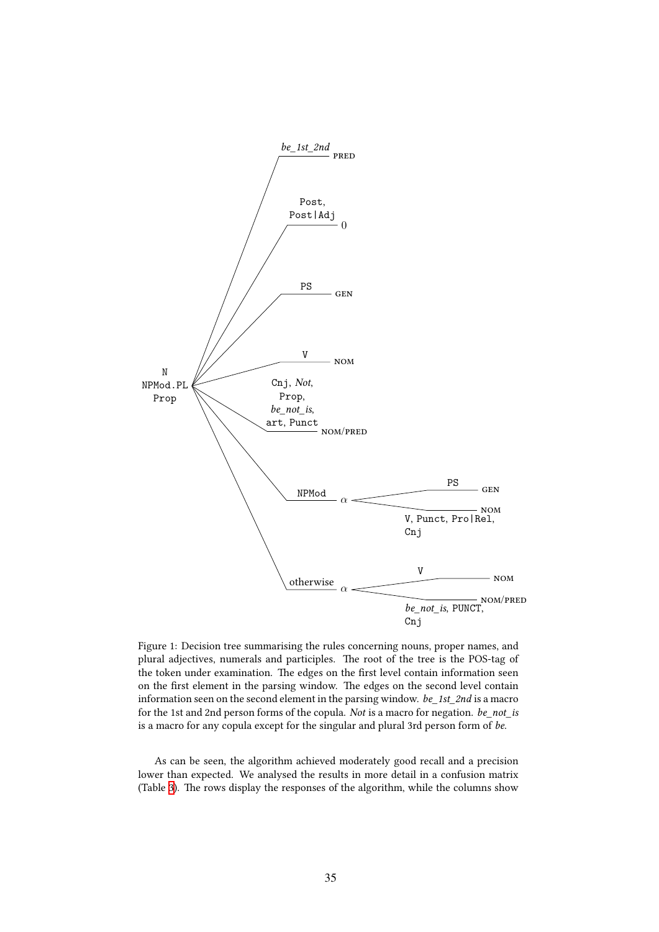<span id="page-8-0"></span>

Figure 1: Decision tree summarising the rules concerning nouns, proper names, and plural adjectives, numerals and participles. The root of the tree is the POS-tag of the token under examination. The edges on the first level contain information seen on the first element in the parsing window. The edges on the second level contain information seen on the second element in the parsing window. *be\_1st\_2nd* is a macro for the 1st and 2nd person forms of the copula. *Not* is a macro for negation. *be\_not\_is* is a macro for any copula except for the singular and plural 3rd person form of *be*.

As can be seen, the algorithm achieved moderately good recall and a precision lower than expected. We analysed the results in more detail in a confusion matrix (Table [3](#page-11-1)). The rows display the responses of the algorithm, while the columns show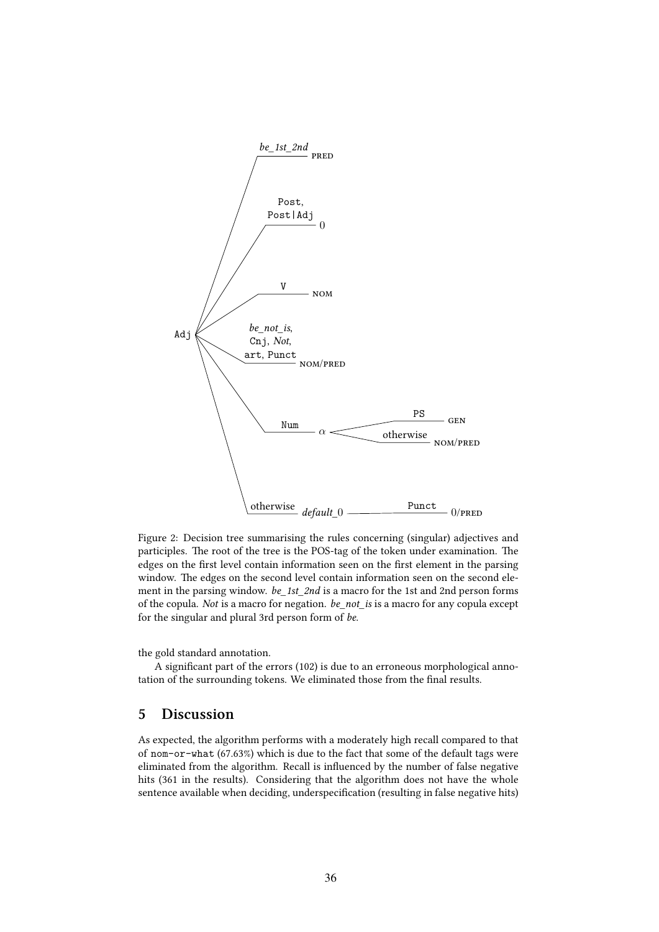<span id="page-9-0"></span>

Figure 2: Decision tree summarising the rules concerning (singular) adjectives and participles. The root of the tree is the POS-tag of the token under examination. The edges on the first level contain information seen on the first element in the parsing window. The edges on the second level contain information seen on the second element in the parsing window. *be\_1st\_2nd* is a macro for the 1st and 2nd person forms of the copula. *Not* is a macro for negation. *be\_not\_is* is a macro for any copula except for the singular and plural 3rd person form of *be*.

the gold standard annotation.

A significant part of the errors (102) is due to an erroneous morphological annotation of the surrounding tokens. We eliminated those from the final results.

## <span id="page-9-1"></span>**5 Discussion**

As expected, the algorithm performs with a moderately high recall compared to that of nom-or-what (67.63%) which is due to the fact that some of the default tags were eliminated from the algorithm. Recall is influenced by the number of false negative hits (361 in the results). Considering that the algorithm does not have the whole sentence available when deciding, underspecification (resulting in false negative hits)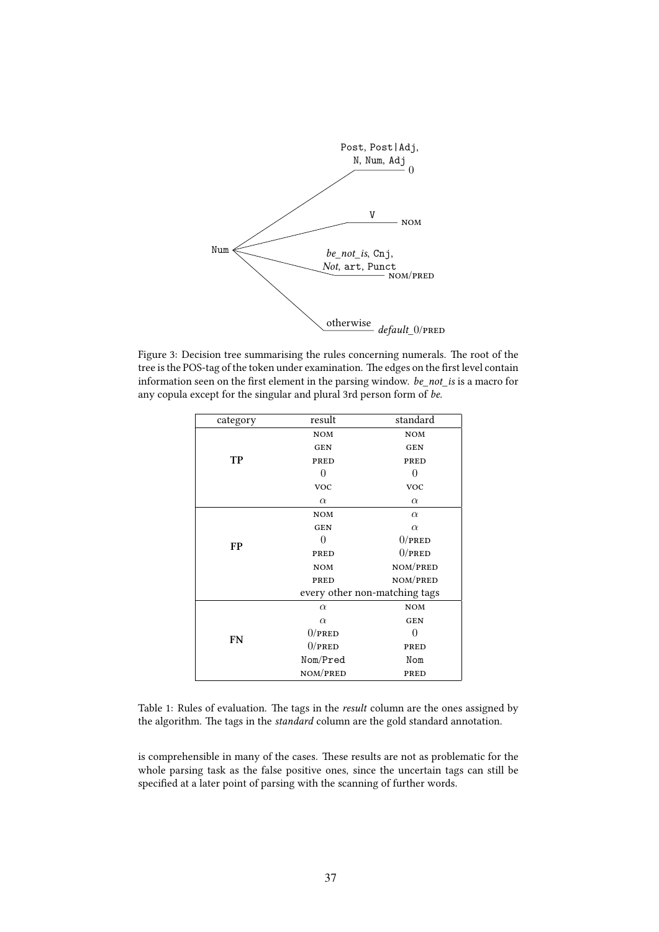<span id="page-10-0"></span>

Figure 3: Decision tree summarising the rules concerning numerals. The root of the tree is the POS-tag of the token under examination. The edges on the first level contain information seen on the first element in the parsing window. *be\_not\_is* is a macro for any copula except for the singular and plural 3rd person form of *be*.

| category  | result                        | standard       |  |  |
|-----------|-------------------------------|----------------|--|--|
|           | <b>NOM</b>                    | <b>NOM</b>     |  |  |
|           | <b>GEN</b>                    | <b>GEN</b>     |  |  |
| TP        | PRED                          | PRED           |  |  |
|           | 0                             | $\overline{0}$ |  |  |
|           | <b>VOC</b>                    | <b>VOC</b>     |  |  |
|           | $\alpha$                      | $\alpha$       |  |  |
|           | <b>NOM</b>                    | $\alpha$       |  |  |
|           | <b>GEN</b>                    | $\alpha$       |  |  |
| <b>FP</b> | 0                             | $0$ /PRED      |  |  |
|           | PRED                          | $0$ /PRED      |  |  |
|           | <b>NOM</b>                    | NOM/PRED       |  |  |
|           | PRED                          | NOM/PRED       |  |  |
|           | every other non-matching tags |                |  |  |
|           | $\alpha$                      | <b>NOM</b>     |  |  |
|           | $\alpha$                      | <b>GEN</b>     |  |  |
| <b>FN</b> | $0$ /pred                     | 0              |  |  |
|           | $0$ /pred                     | PRED           |  |  |
|           | Nom/Pred                      | Nom            |  |  |
|           | NOM/PRED                      | PRED           |  |  |

<span id="page-10-1"></span>Table 1: Rules of evaluation. The tags in the *result* column are the ones assigned by the algorithm. The tags in the *standard* column are the gold standard annotation.

is comprehensible in many of the cases. These results are not as problematic for the whole parsing task as the false positive ones, since the uncertain tags can still be specified at a later point of parsing with the scanning of further words.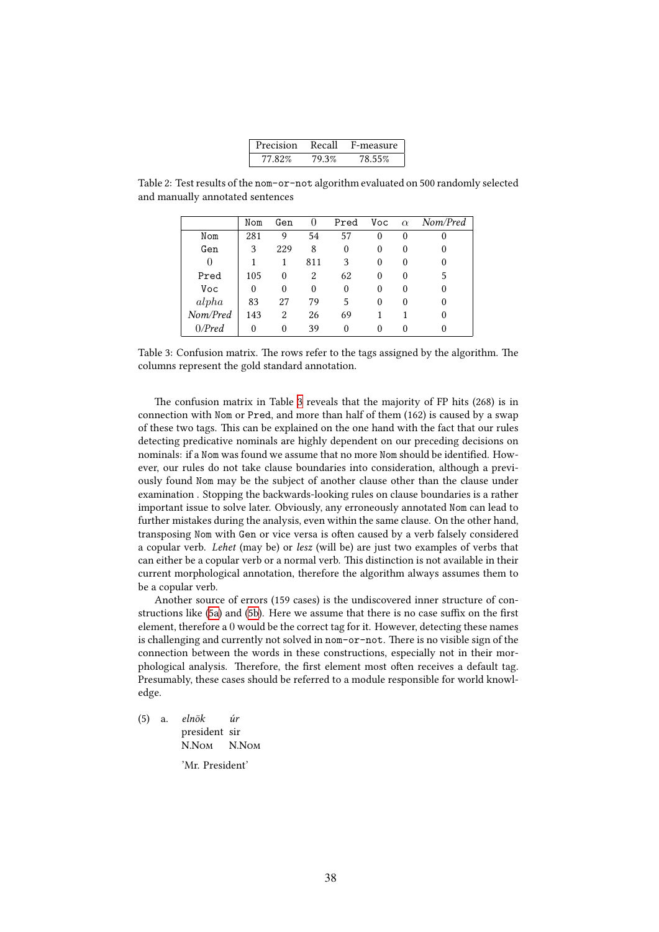<span id="page-11-1"></span><span id="page-11-0"></span>

| Precision | Recall | F-measure |
|-----------|--------|-----------|
| 77.82%    | 79.3%  | 78.55%    |

Table 2: Test results of the nom-or-not algorithm evaluated on 500 randomly selected and manually annotated sentences

|          | Nom      | Gen            | 0   | Pred     | Voc | $\alpha$ | Nom/Pred |
|----------|----------|----------------|-----|----------|-----|----------|----------|
| Nom      | 281      | 9              | 54  | 57       | 0   | $\theta$ | O        |
| Gen      | 3        | 229            | 8   | 0        | 0   | 0        | $_{0}$   |
| $\theta$ |          | 1              | 811 | 3        | 0   | 0        | $_{0}$   |
| Pred     | 105      | 0              | 2   | 62       | 0   | 0        | 5        |
| Voc      | 0        | $\theta$       | 0   | 0        | 0   | 0        | 0        |
| alpha    | 83       | 27             | 79  | 5        | 0   | 0        | 0        |
| Nom/Pred | 143      | $\overline{2}$ | 26  | 69       |     |          | 0        |
| 0/Pred   | $\Omega$ | $\Omega$       | 39  | $\Omega$ | 0   |          |          |

Table 3: Confusion matrix. The rows refer to the tags assigned by the algorithm. The columns represent the gold standard annotation.

The confusion matrix in Table [3](#page-11-1) reveals that the majority of FP hits (268) is in connection with Nom or Pred, and more than half of them (162) is caused by a swap of these two tags. This can be explained on the one hand with the fact that our rules detecting predicative nominals are highly dependent on our preceding decisions on nominals: if a Nom was found we assume that no more Nom should be identified. However, our rules do not take clause boundaries into consideration, although a previously found Nom may be the subject of another clause other than the clause under examination . Stopping the backwards-looking rules on clause boundaries is a rather important issue to solve later. Obviously, any erroneously annotated Nom can lead to further mistakes during the analysis, even within the same clause. On the other hand, transposing Nom with Gen or vice versa is often caused by a verb falsely considered a copular verb. *Lehet* (may be) or *lesz* (will be) are just two examples of verbs that can either be a copular verb or a normal verb. This distinction is not available in their current morphological annotation, therefore the algorithm always assumes them to be a copular verb.

Another source of errors (159 cases) is the undiscovered inner structure of constructions like([5a\)](#page-9-1) and [\(5b\)](#page-9-1). Here we assume that there is no case suffix on the first element, therefore a 0 would be the correct tag for it. However, detecting these names is challenging and currently not solved in nom-or-not. There is no visible sign of the connection between the words in these constructions, especially not in their morphological analysis. Therefore, the first element most often receives a default tag. Presumably, these cases should be referred to a module responsible for world knowledge.

(5) a. *elnök* president sir N.Nom *úr* N.Nom

'Mr. President'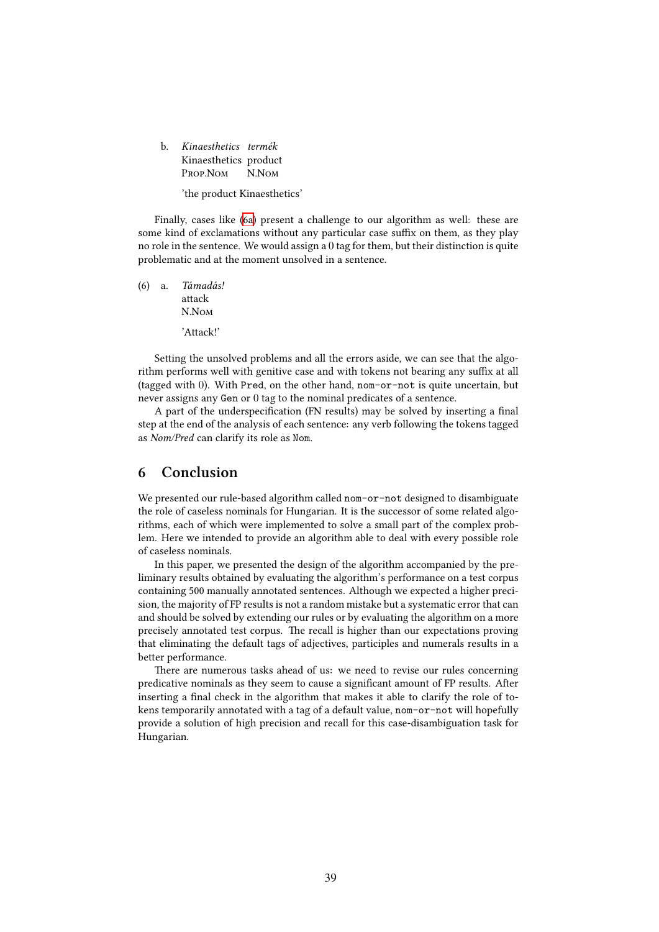b. *Kinaesthetics termék* Kinaesthetics product Prop.Nom N.N<sub>OM</sub>

'the product Kinaesthetics'

Finally, cases like([6a\)](#page-9-1) present a challenge to our algorithm as well: these are some kind of exclamations without any particular case suffix on them, as they play no role in the sentence. We would assign a 0 tag for them, but their distinction is quite problematic and at the moment unsolved in a sentence.

(6) a. *Támadás!* attack N.Nom 'Attack!'

Setting the unsolved problems and all the errors aside, we can see that the algorithm performs well with genitive case and with tokens not bearing any suffix at all (tagged with 0). With Pred, on the other hand, nom-or-not is quite uncertain, but never assigns any Gen or 0 tag to the nominal predicates of a sentence.

A part of the underspecification (FN results) may be solved by inserting a final step at the end of the analysis of each sentence: any verb following the tokens tagged as *Nom/Pred* can clarify its role as Nom.

## **6 Conclusion**

We presented our rule-based algorithm called nom-or-not designed to disambiguate the role of caseless nominals for Hungarian. It is the successor of some related algorithms, each of which were implemented to solve a small part of the complex problem. Here we intended to provide an algorithm able to deal with every possible role of caseless nominals.

In this paper, we presented the design of the algorithm accompanied by the preliminary results obtained by evaluating the algorithm's performance on a test corpus containing 500 manually annotated sentences. Although we expected a higher precision, the majority of FP results is not a random mistake but a systematic error that can and should be solved by extending our rules or by evaluating the algorithm on a more precisely annotated test corpus. The recall is higher than our expectations proving that eliminating the default tags of adjectives, participles and numerals results in a better performance.

There are numerous tasks ahead of us: we need to revise our rules concerning predicative nominals as they seem to cause a significant amount of FP results. After inserting a final check in the algorithm that makes it able to clarify the role of tokens temporarily annotated with a tag of a default value, nom-or-not will hopefully provide a solution of high precision and recall for this case-disambiguation task for Hungarian.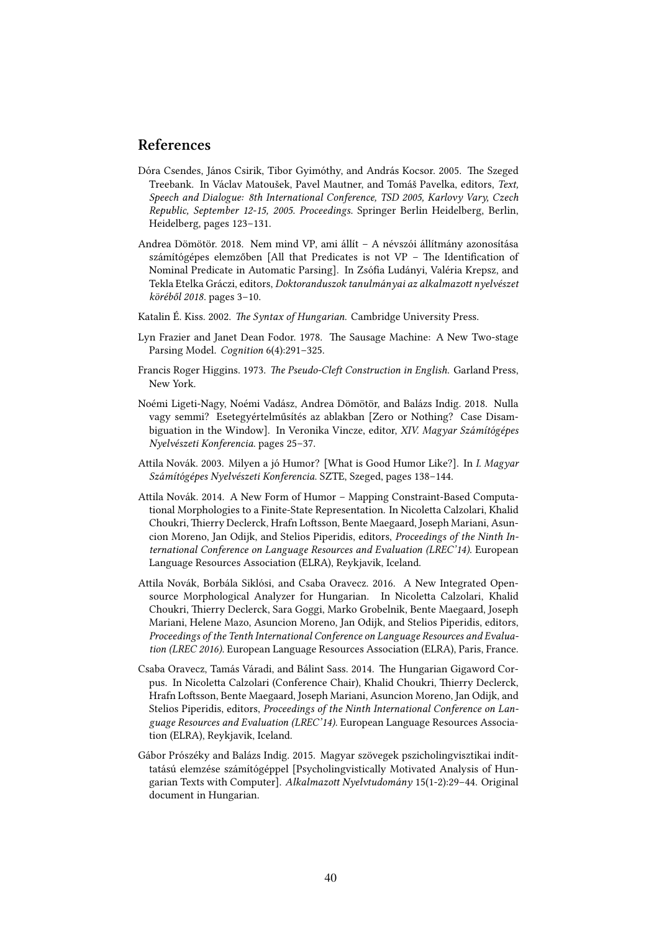## **References**

- <span id="page-13-6"></span>Dóra Csendes, János Csirik, Tibor Gyimóthy, and András Kocsor. 2005. The Szeged Treebank. In Václav Matoušek, Pavel Mautner, and Tomáš Pavelka, editors, *Text, Speech and Dialogue: 8th International Conference, TSD 2005, Karlovy Vary, Czech Republic, September 12-15, 2005. Proceedings*. Springer Berlin Heidelberg, Berlin, Heidelberg, pages 123–131.
- <span id="page-13-2"></span>Andrea Dömötör. 2018. Nem mind VP, ami állít – A névszói állítmány azonosítása számítógépes elemzőben [All that Predicates is not VP – The Identification of Nominal Predicate in Automatic Parsing]. In Zsófia Ludányi, Valéria Krepsz, and Tekla Etelka Gráczi, editors, *Doktoranduszok tanulmányai az alkalmazott nyelvészet köréből 2018*. pages 3–10.
- <span id="page-13-4"></span>Katalin É. Kiss. 2002. *The Syntax of Hungarian*. Cambridge University Press.
- <span id="page-13-3"></span>Lyn Frazier and Janet Dean Fodor. 1978. The Sausage Machine: A New Two-stage Parsing Model. *Cognition* 6(4):291–325.
- <span id="page-13-5"></span>Francis Roger Higgins. 1973. *The Pseudo-Cleft Construction in English*. Garland Press, New York.
- <span id="page-13-1"></span>Noémi Ligeti-Nagy, Noémi Vadász, Andrea Dömötör, and Balázs Indig. 2018. Nulla vagy semmi? Esetegyértelműsítés az ablakban [Zero or Nothing? Case Disambiguation in the Window]. In Veronika Vincze, editor, *XIV. Magyar Számítógépes Nyelvészeti Konferencia*. pages 25–37.
- <span id="page-13-8"></span>Attila Novák. 2003. Milyen a jó Humor? [What is Good Humor Like?]. In *I. Magyar Számítógépes Nyelvészeti Konferencia*. SZTE, Szeged, pages 138–144.
- <span id="page-13-9"></span>Attila Novák. 2014. A New Form of Humor – Mapping Constraint-Based Computational Morphologies to a Finite-State Representation. In Nicoletta Calzolari, Khalid Choukri, Thierry Declerck, Hrafn Loftsson, Bente Maegaard, Joseph Mariani, Asuncion Moreno, Jan Odijk, and Stelios Piperidis, editors, *Proceedings of the Ninth International Conference on Language Resources and Evaluation (LREC'14)*. European Language Resources Association (ELRA), Reykjavik, Iceland.
- <span id="page-13-10"></span>Attila Novák, Borbála Siklósi, and Csaba Oravecz. 2016. A New Integrated Opensource Morphological Analyzer for Hungarian. In Nicoletta Calzolari, Khalid Choukri, Thierry Declerck, Sara Goggi, Marko Grobelnik, Bente Maegaard, Joseph Mariani, Helene Mazo, Asuncion Moreno, Jan Odijk, and Stelios Piperidis, editors, *Proceedings of the Tenth International Conference on Language Resources and Evaluation (LREC 2016)*. European Language Resources Association (ELRA), Paris, France.
- <span id="page-13-7"></span>Csaba Oravecz, Tamás Váradi, and Bálint Sass. 2014. The Hungarian Gigaword Corpus. In Nicoletta Calzolari (Conference Chair), Khalid Choukri, Thierry Declerck, Hrafn Loftsson, Bente Maegaard, Joseph Mariani, Asuncion Moreno, Jan Odijk, and Stelios Piperidis, editors, *Proceedings of the Ninth International Conference on Language Resources and Evaluation (LREC'14)*. European Language Resources Association (ELRA), Reykjavik, Iceland.
- <span id="page-13-0"></span>Gábor Prószéky and Balázs Indig. 2015. Magyar szövegek pszicholingvisztikai indíttatású elemzése számítógéppel [Psycholingvistically Motivated Analysis of Hungarian Texts with Computer]. *Alkalmazott Nyelvtudomány* 15(1-2):29–44. Original document in Hungarian.